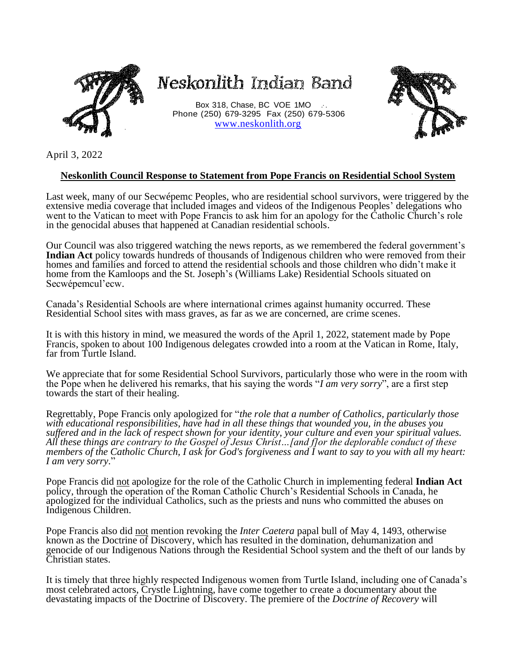

## Neskonlith Indian Band

Box 318, Chase, BC VOE 1MO ... Phone (250) 679-3295 Fax (250) 679-5306 [www.neskonlith.org](http://www.neskonlith.org/)



April 3, 2022

## **Neskonlith Council Response to Statement from Pope Francis on Residential School System**

Last week, many of our Secwépemc Peoples, who are residential school survivors, were triggered by the extensive media coverage that included images and videos of the Indigenous Peoples' delegations who went to the Vatican to meet with Pope Francis to ask him for an apology for the Catholic Church's role in the genocidal abuses that happened at Canadian residential schools.

Our Council was also triggered watching the news reports, as we remembered the federal government's **Indian Act** policy towards hundreds of thousands of Indigenous children who were removed from their homes and families and forced to attend the residential schools and those children who didn't make it home from the Kamloops and the St. Joseph's (Williams Lake) Residential Schools situated on Secwépemcul'ecw.

Canada's Residential Schools are where international crimes against humanity occurred. These Residential School sites with mass graves, as far as we are concerned, are crime scenes.

It is with this history in mind, we measured the words of the April 1, 2022, statement made by Pope Francis, spoken to about 100 Indigenous delegates crowded into a room at the Vatican in Rome, Italy, far from Turtle Island.

We appreciate that for some Residential School Survivors, particularly those who were in the room with the Pope when he delivered his remarks, that his saying the words "*I am very sorry*", are a first step towards the start of their healing.

Regrettably, Pope Francis only apologized for "*the role that a number of Catholics, particularly those with educational responsibilities, have had in all these things that wounded you, in the abuses you suffered and in the lack of respect shown for your identity, your culture and even your spiritual values. All these things are contrary to the Gospel of Jesus Christ…[and f]or the deplorable conduct of these members of the Catholic Church, I ask for God's forgiveness and I want to say to you with all my heart: I am very sorry*."

Pope Francis did not apologize for the role of the Catholic Church in implementing federal **Indian Act** policy, through the operation of the Roman Catholic Church's Residential Schools in Canada, he apologized for the individual Catholics, such as the priests and nuns who committed the abuses on Indigenous Children.

Pope Francis also did not mention revoking the *Inter Caetera* papal bull of May 4, 1493, otherwise known as the Doctrine of Discovery, which has resulted in the domination, dehumanization and genocide of our Indigenous Nations through the Residential School system and the theft of our lands by Christian states.

It is timely that three highly respected Indigenous women from Turtle Island, including one of Canada's most celebrated actors, Crystle Lightning, have come together to create a documentary about the devastating impacts of the Doctrine of Discovery. The premiere of the *Doctrine of Recovery* will